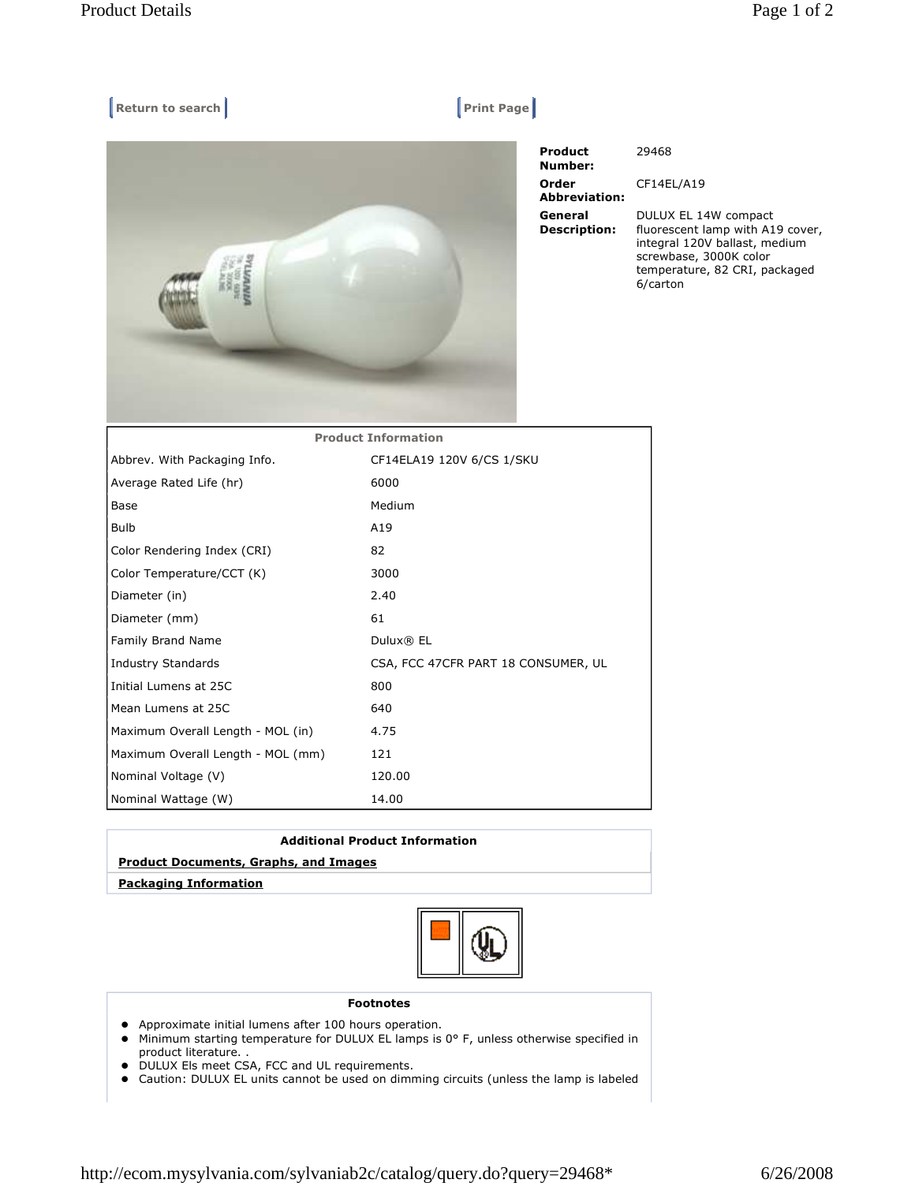## **Return to search Return Construction Construction Construction Print Page |**



| <b>Product</b><br>Number:      | 29468                                                                                                                                                            |
|--------------------------------|------------------------------------------------------------------------------------------------------------------------------------------------------------------|
| Order<br><b>Abbreviation:</b>  | CF14EL/A19                                                                                                                                                       |
| General<br><b>Description:</b> | DULUX EL 14W compact<br>fluorescent lamp with A19 cover,<br>integral 120V ballast, medium<br>screwbase, 3000K color<br>temperature, 82 CRI, packaged<br>6/carton |

| <b>Product Information</b>        |                                     |  |
|-----------------------------------|-------------------------------------|--|
| Abbrev. With Packaging Info.      | CF14ELA19 120V 6/CS 1/SKU           |  |
| Average Rated Life (hr)           | 6000                                |  |
| Base                              | Medium                              |  |
| <b>Bulb</b>                       | A19                                 |  |
| Color Rendering Index (CRI)       | 82                                  |  |
| Color Temperature/CCT (K)         | 3000                                |  |
| Diameter (in)                     | 2.40                                |  |
| Diameter (mm)                     | 61                                  |  |
| Family Brand Name                 | Dulux® EL                           |  |
| <b>Industry Standards</b>         | CSA, FCC 47CFR PART 18 CONSUMER, UL |  |
| Initial Lumens at 25C             | 800                                 |  |
| Mean Lumens at 25C                | 640                                 |  |
| Maximum Overall Length - MOL (in) | 4.75                                |  |
| Maximum Overall Length - MOL (mm) | 121                                 |  |
| Nominal Voltage (V)               | 120.00                              |  |
| Nominal Wattage (W)               | 14.00                               |  |

| <b>Additional Product Information</b>        |
|----------------------------------------------|
| <b>Product Documents, Graphs, and Images</b> |
| <b>Packaging Information</b>                 |
|                                              |



## **Footnotes**

- Approximate initial lumens after 100 hours operation.
- Minimum starting temperature for DULUX EL lamps is 0° F, unless otherwise specified in product literature. .
- DULUX Els meet CSA, FCC and UL requirements.
- Caution: DULUX EL units cannot be used on dimming circuits (unless the lamp is labeled